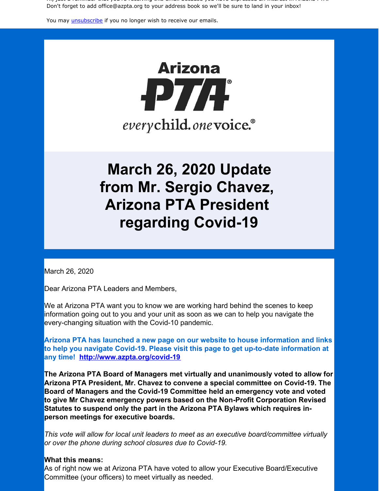Hi, just a reminder that you're receiving this email because you have expressed an interest in Arizona PTA. Don't forget to add office@azpta.org to your address book so we'll be sure to land in your inbox!

You may *[unsubscribe](https://visitor.constantcontact.com/do?p=un&m=0015Ls-oo8gf__TAtUBCd-drA%3D%3D&ch=&ca=e0c7585a-ae4f-43ef-ac56-58aa535b3a58)* if you no longer wish to receive our emails.



# **March 26, 2020 Update from Mr. Sergio Chavez, Arizona PTA President regarding Covid-19**

March 26, 2020

Dear Arizona PTA Leaders and Members,

We at Arizona PTA want you to know we are working hard behind the scenes to keep information going out to you and your unit as soon as we can to help you navigate the every-changing situation with the Covid-10 pandemic.

**Arizona PTA has launched a new page on our website to house information and links to help you navigate Covid-19. Please visit this page to get up-to-date information at any time! <http://www.azpta.org/covid-19>**

**The Arizona PTA Board of Managers met virtually and unanimously voted to allow for Arizona PTA President, Mr. Chavez to convene a special committee on Covid-19. The Board of Managers and the Covid-19 Committee held an emergency vote and voted to give Mr Chavez emergency powers based on the Non-Profit Corporation Revised Statutes to suspend only the part in the Arizona PTA Bylaws which requires inperson meetings for executive boards.**

*This vote will allow for local unit leaders to meet as an executive board/committee virtually or over the phone during school closures due to Covid-19.*

#### **What this means:**

As of right now we at Arizona PTA have voted to allow your Executive Board/Executive Committee (your officers) to meet virtually as needed.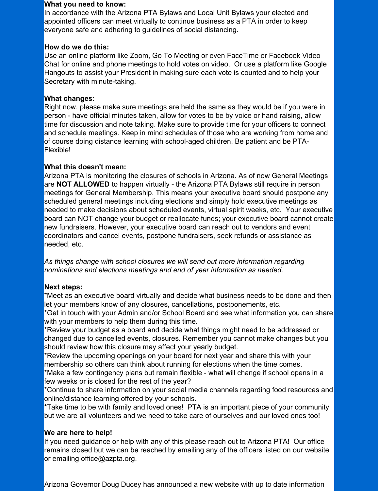#### **What you need to know:**

In accordance with the Arizona PTA Bylaws and Local Unit Bylaws your elected and appointed officers can meet virtually to continue business as a PTA in order to keep everyone safe and adhering to guidelines of social distancing.

### **How do we do this:**

Use an online platform like Zoom, Go To Meeting or even FaceTime or Facebook Video Chat for online and phone meetings to hold votes on video. Or use a platform like Google Hangouts to assist your President in making sure each vote is counted and to help your Secretary with minute-taking.

## **What changes:**

Right now, please make sure meetings are held the same as they would be if you were in person - have official minutes taken, allow for votes to be by voice or hand raising, allow time for discussion and note taking. Make sure to provide time for your officers to connect and schedule meetings. Keep in mind schedules of those who are working from home and of course doing distance learning with school-aged children. Be patient and be PTA-Flexible!

# **What this doesn't mean:**

Arizona PTA is monitoring the closures of schools in Arizona. As of now General Meetings are **NOT ALLOWED** to happen virtually - the Arizona PTA Bylaws still require in person meetings for General Membership. This means your executive board should postpone any scheduled general meetings including elections and simply hold executive meetings as needed to make decisions about scheduled events, virtual spirit weeks, etc. Your executive board can NOT change your budget or reallocate funds; your executive board cannot create new fundraisers. However, your executive board can reach out to vendors and event coordinators and cancel events, postpone fundraisers, seek refunds or assistance as needed, etc.

*As things change with school closures we will send out more information regarding nominations and elections meetings and end of year information as needed.*

# **Next steps:**

\*Meet as an executive board virtually and decide what business needs to be done and then let your members know of any closures, cancellations, postponements, etc.

\*Get in touch with your Admin and/or School Board and see what information you can share with your members to help them during this time.

\*Review your budget as a board and decide what things might need to be addressed or changed due to cancelled events, closures. Remember you cannot make changes but you should review how this closure may affect your yearly budget.

\*Review the upcoming openings on your board for next year and share this with your membership so others can think about running for elections when the time comes.

\*Make a few contingency plans but remain flexible - what will change if school opens in a few weeks or is closed for the rest of the year?

\*Continue to share information on your social media channels regarding food resources and online/distance learning offered by your schools.

\*Take time to be with family and loved ones! PTA is an important piece of your community but we are all volunteers and we need to take care of ourselves and our loved ones too!

# **We are here to help!**

If you need guidance or help with any of this please reach out to Arizona PTA! Our office remains closed but we can be reached by emailing any of the officers listed on our website or emailing office@azpta.org.

Arizona Governor Doug Ducey has announced a new website with up to date information